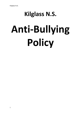# **Kilglass N.S. Anti-Bullying**

**Policy**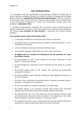# **Anti- Bullying Policy**

1. In accordance with the requirements of the Education (Welfare) Act 2000 and the code of behaviour guidelines issued by the NEWB, the Board of Management of Kilglass National School has **adopted the following anti-bullying policy** within the framework of the school's overall code of behaviour. This policy fully complies with the requirements of the Anti-Bullying Procedures for Primary and Post-Primary Schools which were published in **September 2013.**

2. The Board of Management recognises the very serious nature of bullying and the negative impact that it can have on the lives of pupils and is therefore fully committed to the following **key principles of best practice** in preventing and tackling bullying behaviour:

# **(a) A positive school culture and climate which**

- is welcoming of difference and diversity and is based on inclusivity;
- encourages pupils to disclose and discuss incidents of bullying behaviour in a nonthreatening environment;
- involves collaboration among and between staff and pupils;
- and promotes respectful relationships across the school community,
- **At Kilglass N.S. we consider the following to be key elements of a Positive School Culture:**
- $\triangleright$  We acknowledge the right of each member of the school community to enjoy school in a secure environment
- $\triangleright$  We acknowledge the uniqueness of each individual and their worth as a human being
- $\triangleright$  We promote positive habits of self- respect, self-discipline and responsibility among all its members.
- $\triangleright$  We actively prohibit vulgar, offensive, sectarian or other aggressive behaviour by any of its members
- $\triangleright$  We have a clear commitment to promoting equity in general and gender equity in particular in all aspects of its functioning
- $\triangleright$  We have the capacity to change in response to its pupils needs
- $\triangleright$  We identify aspects of its curriculum through which positive and sustainable influences can be exerted towards forming pupils' attitudes and values
- $\triangleright$  We take particular care of 'at risk' pupils and uses its systems to identify needs and facilitate early intervention where necessary –thus responding to the needs, fears & anxieties of individual members in a sensitive manner
- $\triangleright$  We recognise the need to work in partnership with and keep parents informed on procedures to improve relationships within the school community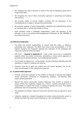- $\triangleright$  We recognise the right of parents to share in the task of equipping pupils with a range of life skills.
- $\triangleright$  We recognise the role of other community agencies in preventing and dealing with bullying
- $\triangleright$  We promote habits of mutual respect, courtesy and an awareness of the interdependence of people in groups and communities
- $\triangleright$  We promote qualities of social responsibility, tolerance and understanding among its members both in school and outside of school
- $\triangleright$  Staff members share a collegiate responsibility, under the direction of the Principal, to act in preventing bullying/aggressive behaviour by ANY MEMBER of the school community

# **(b) Effective leadership**

- $\triangleright$  The BOM has overall responsibility to ensure that this policy is effective, sustainable and measured. The BOM must ensure that accountability is of the highest standard and frequently appraise the outcomes of the strategies and measures contained within the policy
- ISM Team (**Named in Appendix A**) have a clear role to act in a leadership capacity within the school community, stimulating a whole school approach to preventing and tackling bullying – and modelling best practice
- The Principal of *Kilglass N.S.,* as key leader, strongly influences attitudes and sets standards in relation to dealing with bullying.
- $\triangleright$  Teachers must act as good role models and not misuse authority, but be fair, clear and consistent in their disciplinary measures.

### **(c) A school-wide approach**

- $\triangleright$  A whole community approach to the problem of bullying is required and Kilglass School community comprises of management, teachers, non-teaching staff, pupils, parents/guardians
- $\triangleright$  Beyond the school community, bullying behaviour may extend to outside of school. Where this negatively impacts on a school - parents and pupils have a responsibility to support the school in helping to address the issue. This applies particularly (but not exclusively) to cyber bullying.
- $\triangleright$  The assistance of Gardaí, Túsla and Community Workers may be required in some cases
- $\triangleright$  Collective vigilance is needed throughout the whole school/community sector to identify and deal with issues around bullying in a fair and equitable manner.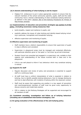# **(d) A shared understanding of what bullying is and its impact**

 $\triangleright$  Kilglass N.S. endeavours to put in place appropriate systems to ensure that ALL relevant members of the school community (parents, pupils, staff and the wider community) have a shared understanding of what constitutes bullying behaviour as defined in this policy *(Section 2&3 of Anti Bullying Procedures for Primary & Post Primary Schools)*

# **(e) Implementation of education and prevention strategies see section 5 of this policy, (including awareness raising measures) that**-

- build empathy, respect and resilience in pupils; and
- explicitly address the issues of cyber-bullying and identity-based bullying including in particular, homophobic and transphobic bullying;
- effective supervision and monitoring of pupils;

# **(f) Effective supervision and monitoring of pupils**

- $\triangleright$  Staff members have a distinct responsibility to ensure that supervision of pupils in class is effective and consistent
- $\triangleright$  Supervision in playground areas must be managed and conducted effectively, with particular attention given to 'hot spots' or 'hot times' eg arrival & dismissal
- $\triangleright$  Student Council are consulted and engaged in a supervisory role, suitable to their capacity and understanding of the issues involved both in class and in the playground
- $\triangleright$  S.N.A.s are well placed to inform if any behaviour which may constitute bullying is noticed

### **(g) Supports for staff**

- $\triangleright$  Regular discussion and review of policy and procedures is essential to support staff on a continuous basis
- $\triangleright$  All staff must have a uniform interpretation of what is expected in relation to bullying, how to identify possible bullying behaviours, how to manage disclosures and how to deal effectively with incidents of bullying within the classroom context
- $\triangleright$  Staff must be aware that supporting one another is a key aspect of prevention and new/inexperienced members of staff must be given every opportunity to discuss concerns and model best practice
- $\triangleright$  CPD in relation to Anti Bullying Strategies will be supported and encouraged for all members of staff

# **(h) Consistent recording, investigation and follow up of bullying behaviour (including use of established intervention strategies); and**

### **(i) On-going evaluation of the effectiveness of the anti-bullying policy.**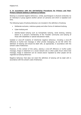# **3. In accordance with the** *Anti-Bullying Procedures for Primary and Post-Primary Schools* **bullying is defined as follows:**

Bullying is unwanted negative behaviour, verbal, psychological or physical conducted, by an individual or group against another person (or persons) and which is repeated over time.

The following types of bullying behaviour are included in the definition of bullying:

- Deliberate exclusion, malicious gossip and other forms of relational bullying,
- Cyber-bullying and
- Identity-based bullying such as homophobic bullying, racist bullying, bullying based on a person's membership of the Traveller community and bullying of those with disabilities or special educational needs.

Isolated or once-off incidents of intentional negative behaviour, including a once-off offensive or hurtful text message or other private messaging, do not fall within the definition of bullying and should be dealt with, as appropriate, in accordance with the school's code of behaviour.

However, in the context of this policy, placing a once-off offensive or hurtful public message, image or statement on a social network site or other public forum where that message, image or statement can be viewed and/or repeated by other people will be regarded as bullying behaviour.

Negative behaviour that does not meet this definition of bullying will be dealt with in accordance with the school's code of behaviour.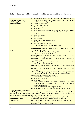# **Bullying Behaviours which Kilglass National School has identified as relevant to our context:**

| <b>General behaviours</b><br>which apply to all<br>types of bullying | Harassment based on any of the nine grounds in the<br>$\bullet$<br>equality legislation e.g. sexual harassment, homophobic<br>bullying, racist bullying etc.<br>Physical aggression<br>$\bullet$<br>Damage to property<br>$\bullet$<br>Name calling<br>$\bullet$<br>Slagging<br>$\bullet$<br>The production, display or circulation of written words,<br>$\bullet$<br>pictures or other materials aimed at intimidating another<br>person<br>Offensive graffiti<br>$\bullet$<br><b>Extortion</b><br>$\bullet$<br>Intimidation<br>$\bullet$<br>Insulting or offensive gestures<br>$\bullet$<br>The "look"<br>$\bullet$<br>Invasion of personal space<br>$\bullet$<br>A combination of any of the types listed.<br>$\bullet$ |
|----------------------------------------------------------------------|----------------------------------------------------------------------------------------------------------------------------------------------------------------------------------------------------------------------------------------------------------------------------------------------------------------------------------------------------------------------------------------------------------------------------------------------------------------------------------------------------------------------------------------------------------------------------------------------------------------------------------------------------------------------------------------------------------------------------|
| <b>Cyber</b>                                                         | .Denigration: Spreading rumors, lies or gossip to hurt a per-<br>son's reputation                                                                                                                                                                                                                                                                                                                                                                                                                                                                                                                                                                                                                                          |
|                                                                      | .Harassment: Continually sending vicious, mean or disturb-                                                                                                                                                                                                                                                                                                                                                                                                                                                                                                                                                                                                                                                                 |
|                                                                      | ing messages to an individual                                                                                                                                                                                                                                                                                                                                                                                                                                                                                                                                                                                                                                                                                              |
|                                                                      | <b>.Impersonation:</b> Posting offensive or aggressive messages<br>under another person's name                                                                                                                                                                                                                                                                                                                                                                                                                                                                                                                                                                                                                             |
|                                                                      | .Flaming: Using inflammatory or vulgar words to provoke an                                                                                                                                                                                                                                                                                                                                                                                                                                                                                                                                                                                                                                                                 |
|                                                                      | online fight                                                                                                                                                                                                                                                                                                                                                                                                                                                                                                                                                                                                                                                                                                               |
|                                                                      | .Trickery: Fooling someone into sharing personal information<br>which you then post online                                                                                                                                                                                                                                                                                                                                                                                                                                                                                                                                                                                                                                 |
|                                                                      | .Outing: Posting or sharing confidential or compromising in-                                                                                                                                                                                                                                                                                                                                                                                                                                                                                                                                                                                                                                                               |
|                                                                      | formation or images                                                                                                                                                                                                                                                                                                                                                                                                                                                                                                                                                                                                                                                                                                        |
|                                                                      | <b>.Exclusion:</b> Purposefully excluding someone from an online                                                                                                                                                                                                                                                                                                                                                                                                                                                                                                                                                                                                                                                           |
|                                                                      | group<br>.Cyber stalking: Ongoing harassment and denigration that                                                                                                                                                                                                                                                                                                                                                                                                                                                                                                                                                                                                                                                          |
|                                                                      | causes a person considerable fear for his/her safety<br>•Silent telephone/mobile phone call                                                                                                                                                                                                                                                                                                                                                                                                                                                                                                                                                                                                                                |
|                                                                      | •Abusive telephone/mobile phone calls                                                                                                                                                                                                                                                                                                                                                                                                                                                                                                                                                                                                                                                                                      |
|                                                                      | •Abusive text messages                                                                                                                                                                                                                                                                                                                                                                                                                                                                                                                                                                                                                                                                                                     |
|                                                                      | •Abusive email                                                                                                                                                                                                                                                                                                                                                                                                                                                                                                                                                                                                                                                                                                             |
|                                                                      | •Abusive communication on social networks e.g. Face-                                                                                                                                                                                                                                                                                                                                                                                                                                                                                                                                                                                                                                                                       |
|                                                                      | book/Snapchat/Instagram /Ask.fm/ Twitter/You Tube or<br>on games consoles                                                                                                                                                                                                                                                                                                                                                                                                                                                                                                                                                                                                                                                  |
|                                                                      | •Abusive website comments/Blogs/Pictures                                                                                                                                                                                                                                                                                                                                                                                                                                                                                                                                                                                                                                                                                   |
|                                                                      | •Abusive posts on any form of communication technology                                                                                                                                                                                                                                                                                                                                                                                                                                                                                                                                                                                                                                                                     |
| <b>Identity Based Behaviours</b>                                     |                                                                                                                                                                                                                                                                                                                                                                                                                                                                                                                                                                                                                                                                                                                            |
|                                                                      | Including any of the nine discriminatory grounds mentioned in Equality Legislation<br>(gender including transgender, civil status, family status, sexual orientation, religion, age,                                                                                                                                                                                                                                                                                                                                                                                                                                                                                                                                       |
|                                                                      | disability, race and membership of the Traveller community).                                                                                                                                                                                                                                                                                                                                                                                                                                                                                                                                                                                                                                                               |
|                                                                      | •Spreading rumours about a person's sexual orientation                                                                                                                                                                                                                                                                                                                                                                                                                                                                                                                                                                                                                                                                     |
| <b>Homophobic and</b>                                                | •Taunting a person of a different sexual orientation                                                                                                                                                                                                                                                                                                                                                                                                                                                                                                                                                                                                                                                                       |
| <b>Transgender</b>                                                   | .Name calling e.g. Gay, queer, lesbianused in a derogatory                                                                                                                                                                                                                                                                                                                                                                                                                                                                                                                                                                                                                                                                 |
|                                                                      | manner                                                                                                                                                                                                                                                                                                                                                                                                                                                                                                                                                                                                                                                                                                                     |
|                                                                      | .Physical intimidation or attacks                                                                                                                                                                                                                                                                                                                                                                                                                                                                                                                                                                                                                                                                                          |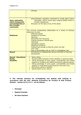|                                                                                            | •Threats                                                                                                                                                                                                                                                                                                                                                                                                                                                                         |
|--------------------------------------------------------------------------------------------|----------------------------------------------------------------------------------------------------------------------------------------------------------------------------------------------------------------------------------------------------------------------------------------------------------------------------------------------------------------------------------------------------------------------------------------------------------------------------------|
|                                                                                            |                                                                                                                                                                                                                                                                                                                                                                                                                                                                                  |
| Race, nationality,<br>ethnic background<br>and membership of<br>the Traveller<br>community | .Discrimination, prejudice, comments or insults about colour,<br>nationality, culture, social class, religious beliefs, ethnic or<br>traveller background<br>•Exclusion on the basis of any of the above                                                                                                                                                                                                                                                                         |
| <b>Relational</b><br><b>Sexual</b>                                                         | This involves manipulating relationships as a means of bullying.<br>Behaviours include:<br>•Malicious gossip<br>•Isolation & exclusion<br>$\bullet$ Ignoring<br>•Excluding from the group<br>•Taking someone's friends away<br>•"Bitching"<br>•Spreading rumours<br>•Breaking confidence<br>•Talking loud enough so that the victim can hear<br>•The "look"<br>•Use or terminology such as 'nerd' in a derogatory way<br>•Unwelcome or inappropriate sexual comments or touching |
| <b>Special Educational</b><br>Needs,<br><b>Disability</b>                                  | •Harassment<br>Name calling<br>$\bullet$<br>Taunting others because of their disability or learning needs<br>$\bullet$<br>Taking advantage of some pupils' vulnerabilities and limited<br>$\bullet$<br>capacity to recognise and defend themselves against bullying<br>Taking advantage of some pupils' vulnerabilities and limited<br>$\bullet$<br>capacity to understand social situations and social cues.<br>Mimicking a person's disability<br>$\bullet$                    |
|                                                                                            | Setting others up for ridicule                                                                                                                                                                                                                                                                                                                                                                                                                                                   |

**4**. **The relevant teachers for investigating and dealing with bullying in accordance with the Anti -Bullying Procedures for Primary & Post Primary Schools – section 6:7.6, 6:7.7 - are as follows:** 

- **Principal**
- **Deputy Principal**
- **All class teachers**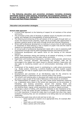### 5. **The following education and prevention strategies (including strategies specifically aimed at cyber-bullying, homophobic and transphobic bullying) will be used by Kilglass N.S. (Ref:Section 6.5 of the** *Anti-Bullying Procedures for Primary and Post-Primary Schools***):**

### **Education and prevention strategies**

### **School-wide approach**

- A school-wide approach to the fostering of respect for all members of the school community.
- The promotion of the value of diversity to address issues of prejudice and stereotyping, and highlight the unacceptability of bullying behaviour.
- The fostering and enhancing of the self-esteem of all our pupils through both curricular and extracurricular activities. Pupils will be provided with opportunities to develop a positive sense of self-worth through formal and informal interactions.
- Whole staff professional development on bullying to ensure that all staff develops an awareness of what bullying is, how it impacts on pupils' lives and the need to respond to it-prevention and intervention.
- An annual audit of professional development needs with a view to assessing staff requirements through internal staff knowledge/expertise and external sources
- Professional development with specific focus on the training of the relevant teachers
- School wide awareness raising and training on all aspects of bullying, to include pupils, parents/guardians and the wider school community.
- Supervision and monitoring of classrooms, corridors, school grounds, school tours and extra- curricular activities. Non-teaching and ancillary staff will be encouraged to be vigilant and report issues to relevant teachers. Supervision will also apply to monitoring student use of communication technology within the school.
- Involvement of the student council in contributing to a safe school environment e.g. Buddy system, mentoring, Lunchtime Buddies and other student support activities that can help to support pupils and encourage a culture of peer respect and support.
- Development and promotion of an Anti-Bullying code for the school-to be displayed publicly in classrooms and in common areas of the school.
- The school's anti-bullying policy is discussed with pupils and all parents/guardians are given a copy as part of the Code of Behaviour of the school on enrolment.
- The implementation of regular (e.g. per year) whole school awareness measures e.g. a dedicated notice board in the school and classrooms on the promotion of friendship, and bullying prevention; annual Anti bullying Week and parents/guardians seminars organised by P/A.; annual student surveys during Anti Bullying Week; regular school assemblies by principal or deputy principal.
- Encourage a culture of telling, with particular emphasis on the importance of bystanders. In that way pupils will gain confidence in 'telling'. This confidence factor is of vital importance. It should be made clear to all pupils that when they report incidents of bullying they are not considered to be telling tales but are behaving responsibly.
- Ensuring that pupils know who to tell and how to tell, e.g.:
	- $\circ$  Direct approach to teacher at an appropriate time, for example after class.
	- o Hand note up with homework.
	- o Make a phone call to the school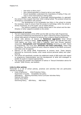- o Anti-bully or Worry box?
- o Get a parent/guardian or friend to tell on your behalf.
- $\circ$  Ensure bystanders understand the importance of telling if they witness or know that bullying is taking place.
- Identify clear protocols to encourage parents/guardians to approach the school if they suspect that their child is being bullied. The protocol should be developed in consultation with parents.
- The development of an Acceptable Use Policy in the school to include the necessary steps to ensure that the access to technology within the school is strictly monitored, as is the pupils' use of mobile phones.
- The listing of supports currently being used in the school and the identification of other supports available to the school.

### **Implementation of curricula**

- The full implementation of the SPHE and the RSE and Stay Safe Programmes.
- Continuous Professional Development for staff in delivering these programmes.
- School wide delivery of lessons on bullying from evidence based programmes.
- School wide delivery of lessons on **Relational aggression** (Cool School Programme: A Friend in Deed), **Cyber Bullying** (#UP2US, Be Safe-Be Web wise, Think Before you Click, Let's Fight it Together, Web wise Primary teachers' resources), **Homophobic and Transphobic Bullying** (Growing up LGBT, Stand Up Programme, The Trust pack )**Diversity and Inter-culturalism,** Yellow Flag Programme**.** The school should list every resource related to the SPHE curriculum, and make a list of supports.
- Delivery of the Garda SPHE Programmes at primary level. These lessons, delivered by Community Gardai, cover issues around personal safety and cyberbullying
- The school will specifically consider the additional needs of SEN pupils with regard to programme implementation and the development of skills and strategies to enable all pupils to respond appropriately.
- The school will consider the implement of advice in "Sexual Orientation advice for schools" (RSE Primary, see booklet) .

### **Links to other policies**

Hereunder is a List of school policies, practices and activities that are particularly relevant to bullying:

 Code of Behaviour Child Protection Policy, Supervision of pupils, Acceptable Use policy, Attendance, Sporting Activities/ Extra Curricular Activities Policy Pastoral Care policy School Tours Policy Swimming Policy, SEN Policy, H&S Policy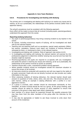# **Appendix A: Care Team Members:**

# **6.8.9. Procedures for Investigating and Dealing with Bullying**

The primary aim in investigating and dealing with bullying is to resolve any issues and to restore, as far as is practicable, the relationships of the parties involved (rather than to apportion blame);

The school's procedures must be consistent with the following approach.

Every effort will be made to ensure that all involved (including pupils, parents/guardians) understand this approach from the outset.

# **Reporting bullying behaviour**

- Any pupil or parent(s)/guardian(s) may bring a bullying incident to any teacher in the school.
- All reports, including anonymous reports of bullying, will be investigated and dealt with by the relevant teacher.
- Teaching and non-teaching staff such as secretaries, special needs assistants (SNAs), bus escorts, caretakers, cleaners must report any incidents of bullying behaviour witnessed by them, or mentioned to them, to the relevant teacher;
- Investigating and dealing with incidents: Style of approach (see section 6.8.9)
- In investigating and dealing with bullying, the relevant teacher will exercise his /her professional judgement to determine whether bullying has occurred and how best the situation might be resolved;
- Parent(s)/guardian(s) and pupils are required to co-operate with any investigation and assist the school in resolving any issues and restoring, as far as is practicable, the relationships of the parties involved as quickly as possible;
- Teachers should take a calm, unemotional problem-solving approach.
- Where possible incidents should be investigated outside the classroom situation to ensure the privacy of all involved;
- All interviews should be conducted with sensitivity and with due regard to the rights of all pupils concerned. Pupils who are not directly involved can also provide very useful information in this way;
- When analysing incidents of bullying behaviour, the relevant teacher should seek answers to questions of what, where, when, who and why. This should be done in a calm manner, setting an example in dealing effectively with a conflict in a nonaggressive manner;
- If a group is involved, each member should be interviewed individually at first. Thereafter, all those involved should be met as a group. At the group meeting, each member should be asked for his/her account of what happened to ensure that everyone in the group is clear about each other's statements;
- Each member of a group should be supported through the possible pressures that may face them from the other members of the group after the interview by the teacher;
- It may also be appropriate or helpful to ask those involved to write down their account of the incident(s)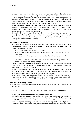- In cases where it has been determined by the relevant teacher that bullying behaviour has occurred, the parent(s)/guardian(s) of the parties involved should be contacted at an early stage to inform them of the matter and explain the actions being taken (by reference to the school policy). The school should give parent(s)/guardian(s) an opportunity of discussing ways in which they can reinforce or support the actions being taken by the school and the supports provided to the pupils;
- Where the relevant teacher has determined that a pupil has been engaged in bullying behaviour, it should be made clear to her how she is in breach of the school's antibullying policy and efforts should be made to try to get her to see the situation from the perspective of the pupil being bullied;
- It must also be made clear to all involved (each set of pupils and parent(s)/guardian(s)) that in any situation where disciplinary sanctions are required, this is a private matter between the pupil being disciplined, his or her parent(s)/guardian(s) and the school;

# **Follow up and recording**

- In determining whether a bullying case has been adequately and appropriately addressed the relevant teacher must, as part of her professional judgement, take the following factors into account:
	- Whether the bullying behaviour has ceased;
	- Whether any issues between the parties have been resolved as far as is practicable;
	- Whether the relationships between the parties have been restored as far as is practicable;
	- Any feedback received from the parties involved, their parent(s)/guardian(s)s or the school Principal or Deputy Principal
- Follow-up meetings with the relevant parties involved should be arranged separately with a view to possibly bringing them together at a later date if the pupil who has been bullied is ready and agreeable.
- Where a parent(s)/guardian(s) is not satisfied that the school has dealt with a bullying case in accordance with these procedures, the parent(s)/guardian(s) must be referred, as appropriate, to the school's complaints procedures.
- In the event that a parent(s)/guardian(s) has exhausted the school's complaints procedures and is still not satisfied, the school must advise the parent(s)/guardian(s) of their right to make a complaint to the Ombudsman for Children.

### **Recording of bullying behaviour**

It is imperative that all recording of bullying incidents must be done in an objective and factual manner.

The school's procedures for noting and reporting bullying behaviour are as follows:

### **Informal- pre-determination that bullying has occurred**

- All staff must keep a written record of any incidents witnessed by them or notified to them. Consideration needs to be given to where the records will be made e.g. incident book. All incidents must be reported to the relevant teacher
- While all reports, including anonymous reports of bullying must be investigated and dealt with by the relevant teacher, the relevant teacher must keep a written record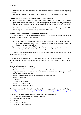of the reports, the actions taken and any discussions with those involved regarding same

The relevant teacher must inform the principal of all incidents being investigated.

# **Formal Stage 1-determination that bullying has occurred**

- If it is established by the relevant teacher that bullying has occurred, the relevant teacher must keep appropriate written records which will assist her efforts to resolve the issues and restore, as far as is practicable, the relationships of the parties involved.
- The school in consultation with the relevant teacher/s should develop a protocol for the storage of all records retained by the relevant teacher.

# **Formal Stage 2-Appendix 3 (From DES Procedures)**

The relevant teacher must use the recording template attached to record the bullying behaviour in the following circumstances:

- a) in cases where she considers that the bullying behaviour has not been adequately and appropriately addressed within 20 school days after she has determined that bullying behaviour occurred; and
- b) All confirmed instances of bullying behaviour must be recorded and reported immediately to the Principal or Deputy Principal as applicable.

The recording template must be retained by the relevant teacher in question and a copy maintained by the principal.

Teachers records are retained in a secure space in the teachers classroom. All report templates given to the Principal will be retained in the filing cabinet in the Principals Office.

Established intervention strategies

- Teacher interviews with all pupils
- Negotiating agreements between pupils and following these up by monitoring progress. This can be on an informal basis or implemented through a more structured mediation process
- Working with parent/guardian to support school interventions
- No Blame Approach
- Circle Time
- Restorative interviews
- Restorative conferencing
- Implementing questionnaires

The Procedures mention the following intervention strategies and reference Ken Rigby; [www.bullyingawarenessweek.org/pdf/BullyingPreventionStrategiesinSchoolsKenRigby.pdf](http://www.bullyingawarenessweek.org/pdf/BullyingPreventionStrategiesinSchoolsKenRigby.pdf)

Kilglass N.S. is committed to exploring these interventions further:

- The traditional successful disciplinary approach
- Strengthening the victim
- Mediation
- Restorative Practice
- The Support Group Method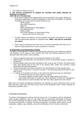• The Method of Shared Concern

# **7. The school's programme of support for working with pupils affected by bullying is as follows**

### **(Ref 6:8:16 of Procedures):**

- All in-school supports and opportunities will be provided for the pupils affected by bullying to participate in activities designed to raise their self-esteem, to develop friendships and social skills and build resilience e.g.
	- SPHE Lessons
	- Stay Safe Programme
	- Walk Tall
	- NEPS programmes on [www.neps.ie](http://www.neps.ie/)
	- Anti Bullying Week
	- Buddy system
	- Care Team Support inc Social Skills Group
		- Group work such as circle time
- If pupils require counselling or further supports the school will endeavour to liaise with the appropriate agencies to organise same. **NEPS will also be contacted for advice**
- Pupils should understand that there are no innocent bystanders and that all incidents of bullying behaviour must be reported to a teacher.

### **8. Supervision and Monitoring of Pupils**

The Board of Management confirms that appropriate supervision and monitoring policies and Practices are in place to both prevent and deal with bullying behaviour and to facilitate early intervention where possible.

- There are agreed supervision and monitoring practices in the school
- Mobile phones are generally not permitted on school tours/outings except in special circumstances
- Bullying danger spots have been identified as the, area at rear of school, the willow dome area, area beside trees at the end of the playing field, toilets and corridors, school tours/trips and swimming lessons.
- Parents and pupils have been consulted in the identification of these danger spots
- Pupils will be involved as a resource to assist in counteracting bullying through the Student Council.
- In relation to Acceptable Use Policy in the school the following issues are addressed:
	- o All Internet sessions are supervised by a teacher
	- $\circ$  The school regularly monitor pupils' Internet usage within school time.
	- o Pupils been instructed to access only those discussion forums and messaging or other electronic communication fora that have been approved by the school?

(Note that the Schools Broadband Programme has blocked all social networking sites on the basis that they waste time and take up too much of the bandwidth which is been provided for educational purposes only).

### **9. Prevention of Harassment**

*The Board of Management confirms that the school will, in accordance with its obligations under equality legislation, take all such steps that are reasonably practicable to prevent the sexual harassment of pupils or staff or the harassment of pupils or staff on any of the nine grounds specified i.e. gender including transgender, civil status, family status, sexual orientation, religion, age, disability, race and membership of the Traveller community.*